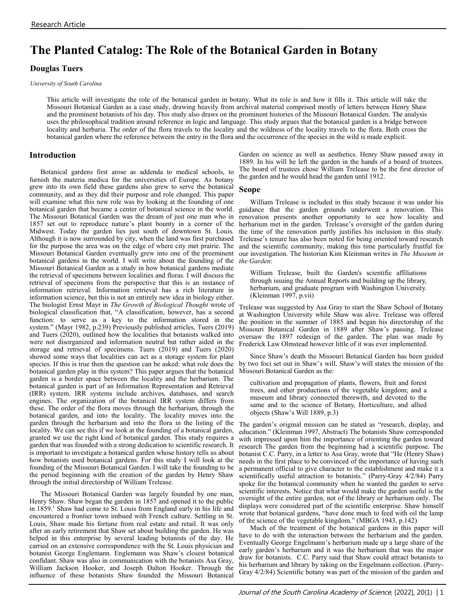# **The Planted Catalog: The Role of the Botanical Garden in Botany**

# **Douglas Tuers**

*University of South Carolina*

This article will investigate the role of the botanical garden in botany. What its role is and how it fills it. This article will take the Missouri Botanical Garden as a case study, drawing heavily from archival material comprised mostly of letters between Henry Shaw and the prominent botanists of his day. This study also draws on the prominent histories of the Missouri Botanical Garden. The analysis uses the philosophical tradition around reference in logic and language. This study argues that the botanical garden is a bridge between locality and herbaria. The order of the flora travels to the locality and the wildness of the locality travels to the flora. Both cross the botanical garden where the reference between the entry in the flora and the occurrence of the species in the wild is made explicit.

## **Introduction**

Botanical gardens first arose as addenda to medical schools, to furnish the materia medica for the universities of Europe. As botany grew into its own field these gardens also grew to serve the botanical community, and as they did their purpose and role changed. This paper will examine what this new role was by looking at the founding of one botanical garden that became a center of botanical science in the world. The Missouri Botanical Garden was the dream of just one man who in 1857 set out to reproduce nature's plant bounty in a corner of the Midwest. Today the garden lies just south of downtown St. Louis. Although it is now surrounded by city, when the land was first purchased for the purpose the area was on the edge of where city met prairie. The Missouri Botanical Garden eventually grew into one of the preeminent botanical gardens in the world. I will write about the founding of the Missouri Botanical Garden as a study in how botanical gardens mediate the retrieval of specimens between localities and floras. I will discuss the retrieval of specimens from the perspective that this is an instance of information retrieval. Information retrieval has a rich literature in information science, but this is not an entirely new idea in biology either. The biologist Ernst Mayr in *The Growth of Biological Thought* wrote of biological classification that, "A classification, however, has a second function: to serve as a key to the information stored in the system." (Mayr 1982, p.239) Previously published articles, Tuers (2019) and Tuers (2020), outlined how the localities that botanists walked into were not disorganized and information neutral but rather aided in the storage and retrieval of specimens. Tuers (2019) and Tuers (2020) showed some ways that localities can act as a storage system for plant species. If this is true then the question can be asked: what role does the botanical garden play in this system? This paper argues that the botanical garden is a border space between the locality and the herbarium. The botanical garden is part of an Information Representation and Retrieval (IRR) system. IRR systems include archives, databases, and search engines. The organization of the botanical IRR system differs from these. The order of the flora moves through the herbarium, through the botanical garden, and into the locality. The locality moves into the garden through the herbarium and into the flora in the listing of the locality. We can see this if we look at the founding of a botanical garden, granted we use the right kind of botanical garden. This study requires a garden that was founded with a strong dedication to scientific research. It is important to investigate a botanical garden whose history tells us about how botanists used botanical gardens. For this study I will look at the founding of the Missouri Botanical Garden. I will take the founding to be the period beginning with the creation of the garden by Henry Shaw through the initial directorship of William Trelease.

The Missouri Botanical Garden was largely founded by one man, Henry Shaw. Shaw began the garden in 1857 and opened it to the public in 1859.<sup>1</sup> Shaw had come to St. Louis from England early in his life and encountered a frontier town imbued with French culture. Settling in St. Louis, Shaw made his fortune from real estate and retail. It was only after an early retirement that Shaw set about building the garden. He was helped in this enterprise by several leading botanists of the day. He carried on an extensive correspondence with the St. Louis physician and botanist George Englemann. Englemann was Shaw's closest botanical confidant. Shaw was also in communication with the botanists Asa Gray, William Jackson Hooker, and Joseph Dalton Hooker. Through the influence of these botanists Shaw founded the Missouri Botanical

Garden on science as well as aesthetics. Henry Shaw passed away in 1889. In his will he left the garden in the hands of a board of trustees. The board of trustees chose William Trelease to be the first director of the garden and he would head the garden until 1912.

#### **Scope**

William Trelease is included in this study because it was under his guidance that the garden grounds underwent a renovation. This renovation presents another opportunity to see how locality and herbarium met in the garden. Trelease's oversight of the garden during the time of the renovation partly justifies his inclusion in this study. Trelease's tenure has also been noted for being oriented toward research and the scientific community, making this time particularly fruitful for our investigation. The historian Kim Kleinman writes in *The Museum in the Garden*:

William Trelease, built the Garden's scientific affiliations through issuing the Annual Reports and building up the library, herbarium, and graduate program with Washington University. (Kleinman 1997, p.vii)

Trelease was suggested by Asa Gray to start the Shaw School of Botany at Washington University while Shaw was alive. Trelease was offered the position in the summer of 1885 and began his directorship of the Missouri Botanical Garden in 1889 after Shaw's passing. Trelease oversaw the 1897 redesign of the garden. The plan was made by Frederick Law Olmstead however little of it was ever implemented.

Since Shaw's death the Missouri Botanical Garden has been guided by two foci set out in Shaw's will. Shaw's will states the mission of the Missouri Botanical Garden as the:

cultivation and propagation of plants, flowers, fruit and forest trees, and other productions of the vegetable kingdom; and a museum and library connected therewith, and devoted to the same and to the science of Botany, Horticulture, and allied objects (Shaw's Will 1889, p.3)

The garden's original mission can be stated as "research, display, and education." (Kleinman 1997, Abstract) The botanists Shaw corresponded with impressed upon him the importance of orienting the garden toward research The garden from the beginning had a scientific purpose. The botanist C.C. Parry, in a letter to Asa Gray, wrote that "He (Henry Shaw) needs in the first place to be convinced of the importance of having such a permanent official to give character to the establishment and make it a scientifically useful attraction to botanists." (Parry-Gray 4/2/84) Parry spoke for the botanical community when he wanted the garden to serve scientific interests. Notice that what would make the garden useful is the oversight of the entire garden, not of the library or herbarium only. The displays were considered part of the scientific enterprise. Shaw himself wrote that botanical gardens, "have done much to feed with oil the lamp of the science of the vegetable kingdom." (MBGA 1943, p.142)

Much of the treatment of the botanical gardens in this paper will have to do with the interaction between the herbarium and the garden. Eventually George Engelmann's herbarium made up a large share of the early garden's herbarium and it was the herbarium that was the major draw for botanists. C.C. Parry said that Shaw could attract botanists to his herbarium and library by taking on the Engelmann collection. (Parry-Gray 4/2/84) Scientific botany was part of the mission of the garden and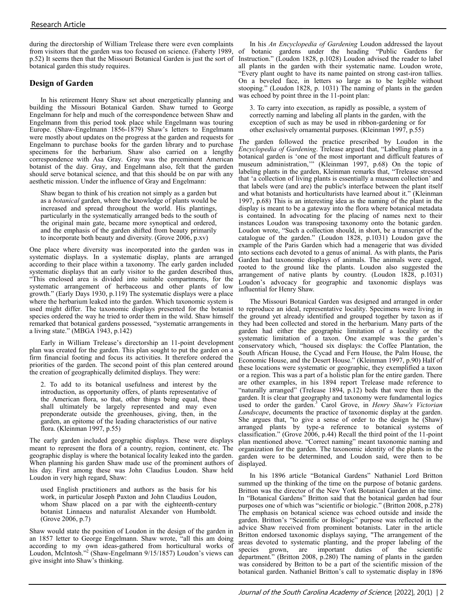during the directorship of William Trelease there were even complaints from visitors that the garden was too focused on science. (Faherty 1989, botanical garden this study requires.

# **Design of Garden**

In his retirement Henry Shaw set about energetically planning and building the Missouri Botanical Garden. Shaw turned to George Engelmann for help and much of the correspondence between Shaw and Engelmann from this period took place while Engelmann was touring Europe. (Shaw-Engelmann 1856-1879) Shaw's letters to Engelmann were mostly about updates on the progress at the garden and requests for Engelmann to purchase books for the garden library and to purchase specimens for the herbarium. Shaw also carried on a lengthy correspondence with Asa Gray. Gray was the preeminent American botanist of the day. Gray, and Engelmann also, felt that the garden should serve botanical science, and that this should be on par with any aesthetic mission. Under the influence of Gray and Engelmann:

Shaw began to think of his creation not simply as a garden but as a *botanical* garden, where the knowledge of plants would be increased and spread throughout the world. His plantings, particularly in the systematically arranged beds to the south of the original main gate, became more synoptical and ordered, and the emphasis of the garden shifted from beauty primarily to incorporate both beauty and diversity. (Grove 2006, p.xv)

One place where diversity was incorporated into the garden was in systematic displays. In a systematic display, plants are arranged according to their place within a taxonomy. The early garden included systematic displays that an early visitor to the garden described thus, "This enclosed area is divided into suitable compartments, for the systematic arrangement of herbaceous and other plants of low growth." (Early Days 1930, p.119) The systematic displays were a place where the herbarium leaked into the garden. Which taxonomic system is used might differ. The taxonomic displays presented for the botanist species ordered the way he tried to order them in the wild. Shaw himself remarked that botanical gardens possessed, "systematic arrangements in a living state." (MBGA 1943, p.142)

Early in William Trelease's directorship an 11-point development plan was created for the garden. This plan sought to put the garden on a firm financial footing and focus its activities. It therefore ordered the priorities of the garden. The second point of this plan centered around the creation of geographically delimited displays. They were:

2. To add to its botanical usefulness and interest by the introduction, as opportunity offers, of plants representative of the American flora, so that, other things being equal, these shall ultimately be largely represented and may even preponderate outside the greenhouses, giving, then, in the garden, an epitome of the leading characteristics of our native flora. (Kleinman 1997, p.55)

The early garden included geographic displays. These were displays meant to represent the flora of a country, region, continent, etc. The geographic display is where the botanical locality leaked into the garden. When planning his garden Shaw made use of the prominent authors of his day. First among these was John Claudius Loudon. Shaw held Loudon in very high regard, Shaw:

used English practitioners and authors as the basis for his work, in particular Joseph Paxton and John Claudius Loudon, whom Shaw placed on a par with the eighteenth-century botanist Linnaeus and naturalist Alexander von Humboldt. (Grove 2006, p.7)

Shaw would state the position of Loudon in the design of the garden in an 1857 letter to George Engelmann. Shaw wrote, "all this am doing according to my own ideas-gathered from horticultural works of Loudon, McIntosh." 2 (Shaw-Engelmann 9/15/1857) Loudon's views can give insight into Shaw's thinking.

p.52) It seems then that the Missouri Botanical Garden is just the sort of Instruction." (Loudon 1828, p.1028) Loudon advised the reader to label In his *An Encyclopedia of Gardening* Loudon addressed the layout of botanic gardens under the heading "Public Gardens for all plants in the garden with their systematic name. Loudon wrote, "Every plant ought to have its name painted on strong cast-iron tallies. On a beveled face, in letters so large as to be legible without stooping." (Loudon 1828, p. 1031) The naming of plants in the garden was echoed by point three in the 11-point plan:

> 3. To carry into execution, as rapidly as possible, a system of correctly naming and labeling all plants in the garden, with the exception of such as may be used in ribbon-gardening or for other exclusively ornamental purposes. (Kleinman 1997, p.55)

The garden followed the practice prescribed by Loudon in the *Encyclopedia of Gardening*. Trelease argued that, "Labelling plants in a botanical garden is 'one of the most important and difficult features of museum administration,'" (Kleinman 1997, p.68) On the topic of labeling plants in the garden, Kleinman remarks that, "Trelease stressed that 'a collection of living plants is essentially a museum collection' and that labels were (and are) the public's interface between the plant itself and what botanists and horticulturists have learned about it." (Kleinman 1997, p.68) This is an interesting idea as the naming of the plant in the display is meant to be a gateway into the flora where botanical metadata is contained. In advocating for the placing of names next to their instances Loudon was transposing taxonomy onto the botanic garden. Loudon wrote, "Such a collection should, in short, be a transcript of the catalogue of the garden." (Loudon 1828, p.1031) Loudon gave the example of the Paris Garden which had a menagerie that was divided into sections each devoted to a genus of animal. As with plants, the Paris Garden had taxonomic displays of animals. The animals were caged, rooted to the ground like the plants. Loudon also suggested the arrangement of native plants by country. (Loudon 1828, p.1031) Loudon's advocacy for geographic and taxonomic displays was influential for Henry Shaw.

The Missouri Botanical Garden was designed and arranged in order to reproduce an ideal, representative locality. Specimens were living in the ground yet already identified and grouped together by taxon as if they had been collected and stored in the herbarium. Many parts of the garden had either the geographic limitation of a locality or the systematic limitation of a taxon. One example was the garden's conservatory which, "housed six displays: the Coffee Plantation, the South African House, the Cycad and Fern House, the Palm House, the Economic House, and the Desert House." (Kleinman 1997, p.90) Half of these locations were systematic or geographic, they exemplified a taxon or a region. This was a part of a holistic plan for the entire garden. There are other examples, in his 1894 report Trelease made reference to "naturally arranged" (Trelease 1894, p.12) beds that were then in the garden. It is clear that geography and taxonomy were fundamental logics used to order the garden.<sup>3</sup> Carol Grove, in *Henry Shaw's Victorian Landscape*, documents the practice of taxonomic display at the garden. She argues that, "to give a sense of order to the design he (Shaw) arranged plants by type-a reference to botanical systems of classification." (Grove 2006, p.44) Recall the third point of the 11-point plan mentioned above. "Correct naming" meant taxonomic naming and organization for the garden. The taxonomic identity of the plants in the garden were to be determined, and Loudon said, were then to be displayed.

In his 1896 article "Botanical Gardens" Nathaniel Lord Britton summed up the thinking of the time on the purpose of botanic gardens. Britton was the director of the New York Botanical Garden at the time. In "Botanical Gardens" Britton said that the botanical garden had four purposes one of which was "scientific or biologic." (Britton 2008, p.278) The emphasis on botanical science was echoed outside and inside the garden. Britton's "Scientific or Biologic" purpose was reflected in the advice Shaw received from prominent botanists. Later in the article Britton endorsed taxonomic displays saying, "The arrangement of the areas devoted to systematic planting, and the proper labeling of the species grown, are important duties of the scientific department." (Britton 2008, p.280) The naming of plants in the garden was considered by Britton to be a part of the scientific mission of the botanical garden. Nathaniel Britton's call to systematic display in 1896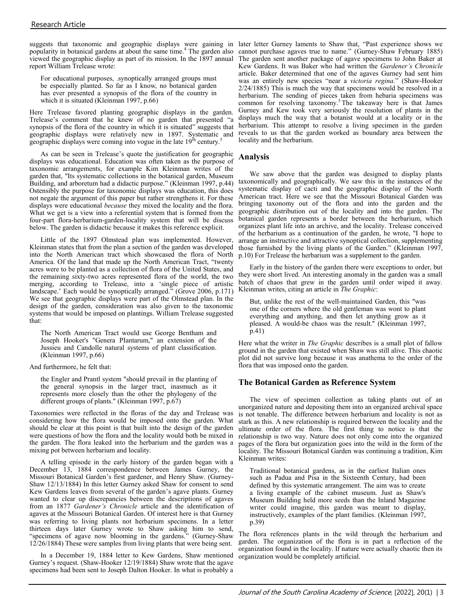suggests that taxonomic and geographic displays were gaining in popularity in botanical gardens at about the same time.<sup>4</sup> The garden also report William Trelease wrote:

For educational purposes, .synoptically arranged groups must be especially planted. So far as I know, no botanical garden has ever presented a synopsis of the flora of the country in which it is situated (Kleinman 1997, p.66)

Here Trelease favored planting geographic displays in the garden. Trelease's comment that he knew of no garden that presented "a synopsis of the flora of the country in which it is situated" suggests that geographic displays were relatively new in 1897. Systematic and geographic displays were coming into vogue in the late 19<sup>th</sup> century.<sup>5</sup>

As can be seen in Trelease's quote the justification for geographic displays was educational. Education was often taken as the purpose of taxonomic arrangements, for example Kim Kleinman writes of the garden that, "Its systematic collections in the botanical garden, Museum Building, and arboretum had a didactic purpose." (Kleinman 1997, p.44) Ostensibly the purpose for taxonomic displays was education, this does not negate the argument of this paper but rather strengthens it. For these displays were educational *because* they mixed the locality and the flora. What we get is a view into a referential system that is formed from the four-part flora-herbarium-garden-locality system that will be discuss below. The garden is didactic because it makes this reference explicit.

Little of the 1897 Olmstead plan was implemented. However, Kleinman states that from the plan a section of the garden was developed into the North American tract which showcased the flora of North America. Of the land that made up the North American Tract, "twenty acres were to be planted as a collection of flora of the United States, and the remaining sixty-two acres represented flora of the world, the two merging, according to Trelease, into a 'single piece of artistic landscape.' Each would be synoptically arranged." (Grove 2006, p.171) We see that geographic displays were part of the Olmstead plan. In the design of the garden, consideration was also given to the taxonomic systems that would be imposed on plantings. William Trelease suggested that:

The North American Tract would use George Bentham and Joseph Hooker's "Genera PIantarum," an extension of the Jussieu and Candolle natural systems of plant classification. (Kleinman 1997, p.66)

And furthermore, he felt that:

the Engler and Prantl system "should prevail in the planting of the general synopsis in the larger tract, inasmuch as it represents more closely than the other the phylogeny of the different groups of plants." (Kleinman 1997, p.67)

Taxonomies were reflected in the floras of the day and Trelease was considering how the flora would be imposed onto the garden. What should be clear at this point is that built into the design of the garden were questions of how the flora and the locality would both be mixed in the garden. The flora leaked into the herbarium and the garden was a mixing pot between herbarium and locality.

A telling episode in the early history of the garden began with a December 13, 1884 correspondence between James Gurney, the Missouri Botanical Garden's first gardener, and Henry Shaw. (Gurney-Shaw 12/13/1884) In this letter Gurney asked Shaw for consent to send Kew Gardens leaves from several of the garden's agave plants. Gurney wanted to clear up discrepancies between the descriptions of agaves from an 1877 *Gardener's Chronicle* article and the identification of agaves at the Missouri Botanical Garden. Of interest here is that Gurney was referring to living plants not herbarium specimens. In a letter thirteen days later Gurney wrote to Shaw asking him to send, "specimens of agave now blooming in the gardens." (Gurney-Shaw 12/26/1884) These were samples from living plants that were being sent.

In a December 19, 1884 letter to Kew Gardens, Shaw mentioned Gurney's request. (Shaw-Hooker 12/19/1884) Shaw wrote that the agave specimens had been sent to Joseph Dalton Hooker. In what is probably a

viewed the geographic display as part of its mission. In the 1897 annual The garden sent another package of agave specimens to John Baker at later letter Gurney laments to Shaw that, "Past experience shows we cannot purchase agaves true to name." (Gurney-Shaw February 1885) Kew Gardens. It was Baker who had written the *Gardener's Chronicle*  article. Baker determined that one of the agaves Gurney had sent him was an entirely new species "near a *victoria regina.*" (Shaw-Hooker 2/24/1885) This is much the way that specimens would be resolved in a herbarium. The sending of pieces taken from hebaria specimens was common for resolving taxonomy.<sup>5</sup>The takeaway here is that James Gurney and Kew took very seriously the resolution of plants in the displays much the way that a botanist would at a locality or in the herbarium. This attempt to resolve a living specimen in the garden reveals to us that the garden worked as boundary area between the locality and the herbarium.

### **Analysis**

We saw above that the garden was designed to display plants taxonomically and geographically. We saw this in the instances of the systematic display of cacti and the geographic display of the North American tract. Here we see that the Missouri Botanical Garden was bringing taxonomy out of the flora and into the garden and the geographic distribution out of the locality and into the garden. The botanical garden represents a border between the herbarium, which organizes plant life into an archive, and the locality. Trelease conceived of the herbarium as a continuation of the garden, he wrote, "I hope to arrange an instructive and attractive synoptical collection, supplementing those furnished by the living plants of the Garden." (Kleinman 1997, p.10) For Trelease the herbarium was a supplement to the garden.

Early in the history of the garden there were exceptions to order, but they were short lived. An interesting anomaly in the garden was a small batch of chaos that grew in the garden until order wiped it away. Kleinman writes, citing an article in *The Graphic*:

But, unlike the rest of the well-maintained Garden, this "was one of the corners where the old gentleman was wont to plant everything and anything, and then let anything grow as it pleased. A would-be chaos was the result." (Kleinman 1997, p.41)

Here what the writer in *The Graphic* describes is a small plot of fallow ground in the garden that existed when Shaw was still alive. This chaotic plot did not survive long because it was anathema to the order of the flora that was imposed onto the garden.

#### **The Botanical Garden as Reference System**

The view of specimen collection as taking plants out of an unorganized nature and depositing them into an organized archival space is not tenable. The difference between herbarium and locality is not as stark as this. A new relationship is required between the locality and the ultimate order of the flora. The first thing to notice is that the relationship is two way. Nature does not only come into the organized pages of the flora but organization goes into the wild in the form of the locality. The Missouri Botanical Garden was continuing a tradition, Kim Kleinman writes:

Traditional botanical gardens, as in the earliest Italian ones such as Padua and Pisa in the Sixteenth Century, had been defined by this systematic arrangement. The aim was to create a living example of the cabinet museum. Just as Shaw's Museum Building held more seeds than the Inland Magazine writer could imagine, this garden was meant to display, instructively, examples of the plant families. (Kleinman 1997, p.39)

The flora references plants in the wild through the herbarium and garden. The organization of the flora is in part a reflection of the organization found in the locality. If nature were actually chaotic then its organization would be completely artificial.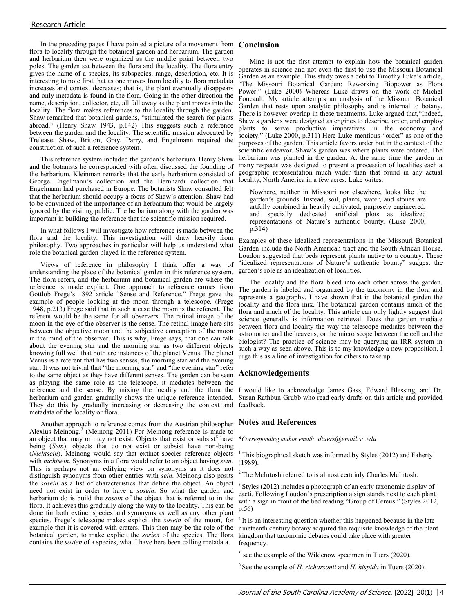In the preceding pages I have painted a picture of a movement from **Conclusion** flora to locality through the botanical garden and herbarium. The garden and herbarium then were organized as the middle point between two poles. The garden sat between the flora and the locality. The flora entry gives the name of a species, its subspecies, range, description, etc. It is interesting to note first that as one moves from locality to flora metadata increases and context decreases; that is, the plant eventually disappears and only metadata is found in the flora. Going in the other direction the name, description, collector, etc, all fall away as the plant moves into the locality. The flora makes references to the locality through the garden. Shaw remarked that botanical gardens, "stimulated the search for plants abroad." (Henry Shaw 1943, p.142) This suggests such a reference between the garden and the locality. The scientific mission advocated by Trelease, Shaw, Britton, Gray, Parry, and Engelmann required the construction of such a reference system.

This reference system included the garden's herbarium. Henry Shaw and the botanists he corresponded with often discussed the founding of the herbarium. Kleinman remarks that the early herbarium consisted of George Engelmann's collection and the Bernhardi collection that Engelmann had purchased in Europe. The botanists Shaw consulted felt that the herbarium should occupy a focus of Shaw's attention, Shaw had to be convinced of the importance of an herbarium that would be largely ignored by the visiting public. The herbarium along with the garden was important in building the reference that the scientific mission required.

In what follows I will investigate how reference is made between the flora and the locality. This investigation will draw heavily from philosophy. Two approaches in particular will help us understand what role the botanical garden played in the reference system.

Views of reference in philosophy I think offer a way of understanding the place of the botanical garden in this reference system. The flora refers, and the herbarium and botanical garden are where the reference is made explicit. One approach to reference comes from Gottlob Frege's 1892 article "Sense and Reference." Frege gave the example of people looking at the moon through a telescope. (Frege 1948, p.213) Frege said that in such a case the moon is the referent. The referent would be the same for all observers. The retinal image of the moon in the eye of the observer is the sense. The retinal image here sits between the objective moon and the subjective conception of the moon in the mind of the observer. This is why, Frege says, that one can talk about the evening star and the morning star as two different objects knowing full well that both are instances of the planet Venus. The planet Venus is a referent that has two senses, the morning star and the evening star. It was not trivial that "the morning star" and "the evening star" refer to the same object as they have different senses. The garden can be seen as playing the same role as the telescope, it mediates between the reference and the sense. By mixing the locality and the flora the I would like to acknowledge James Gass, Edward Blessing, and Dr. herbarium and garden gradually shows the unique reference intended. They do this by gradually increasing or decreasing the context and metadata of the locality or flora.

Another approach to reference comes from the Austrian philosopher Alexius Meinong.<sup>7</sup> (Meinong 2011) For Meinong reference is made to an object that may or may not exist. Objects that exist or subsist $8$  have being (*Sein*), objects that do not exist or subsist have non-being (*Nichtsein*). Meinong would say that extinct species reference objects with *nichtsein*. Synonyms in a flora would refer to an object having *sein*. This is perhaps not an edifying view on synonyms as it does not distinguish synonyms from other entries with *sein*. Meinong also posits the *sosein* as a list of characteristics that define the object. An object need not exist in order to have a *sosein*. So what the garden and herbarium do is build the *sosein* of the object that is referred to in the flora. It achieves this gradually along the way to the locality. This can be done for both extinct species and synonyms as well as any other plant species. Frege's telescope makes explicit the *sosein* of the moon, for example that it is covered with craters. This then may be the role of the botanical garden, to make explicit the *sosien* of the species. The flora contains the *sosien* of a species, what I have here been calling metadata.

Mine is not the first attempt to explain how the botanical garden operates in science and not even the first to use the Missouri Botanical Garden as an example. This study owes a debt to Timothy Luke's article, "The Missouri Botanical Garden: Reworking Biopower as Flora Power." (Luke 2000) Whereas Luke draws on the work of Michel Foucault. My article attempts an analysis of the Missouri Botanical Garden that rests upon analytic philosophy and is internal to botany. There is however overlap in these treatments. Luke argued that,"Indeed, Shaw's gardens were designed as engines to describe, order, and employ plants to serve productive imperatives in the economy and society." (Luke 2000, p.311) Here Luke mentions "order" as one of the purposes of the garden. This article favors order but in the context of the scientific endeavor. Shaw's garden was where plants were ordered. The herbarium was planted in the garden. At the same time the garden in many respects was designed to present a procession of localities each a geographic representation much wider than that found in any actual locality, North America in a few acres. Luke writes:

Nowhere, neither in Missouri nor elsewhere, looks like the garden's grounds. Instead, soil, plants, water, and stones are artfully combined in heavily cultivated, purposely engineered, and specially dedicated artificial plots as idealized representations of Nature's authentic bounty. (Luke 2000, p.314)

Examples of these idealized representations in the Missouri Botanical Garden include the North American tract and the South African House. Loudon suggested that beds represent plants native to a country. These "idealized representations of Nature's authentic bounty" suggest the garden's role as an idealization of localities.

The locality and the flora bleed into each other across the garden. The garden is labeled and organized by the taxonomy in the flora and represents a geography. I have shown that in the botanical garden the locality and the flora mix. The botanical garden contains much of the flora and much of the locality. This article can only lightly suggest that science generally is information retrieval. Does the garden mediate between flora and locality the way the telescope mediates between the astronomer and the heavens, or the micro scope between the cell and the biologist? The practice of science may be querying an IRR system in such a way as seen above. This is to my knowledge a new proposition. I urge this as a line of investigation for others to take up.

#### **Acknowledgements**

Susan Rathbun-Grubb who read early drafts on this article and provided feedback.

#### **Notes and References**

*\*Corresponding author email: dtuers@email.sc.edu*

<sup>1</sup> This biographical sketch was informed by Styles (2012) and Faherty (1989).

The McIntosh referred to is almost certainly Charles McIntosh.

Styles (2012) includes a photograph of an early taxonomic display of cacti. Following Loudon's prescription a sign stands next to each plant with a sign in front of the bed reading "Group of Cereus." (Styles 2012, p.56)

<sup>4</sup>It is an interesting question whether this happened because in the late nineteenth century botany acquired the requisite knowledge of the plant kingdom that taxonomic debates could take place with greater frequency.

 $<sup>5</sup>$  see the example of the Wildenow specimen in Tuers (2020).</sup>

 $6$  See the example of *H. richarsonii* and *H. hispida* in Tuers (2020).